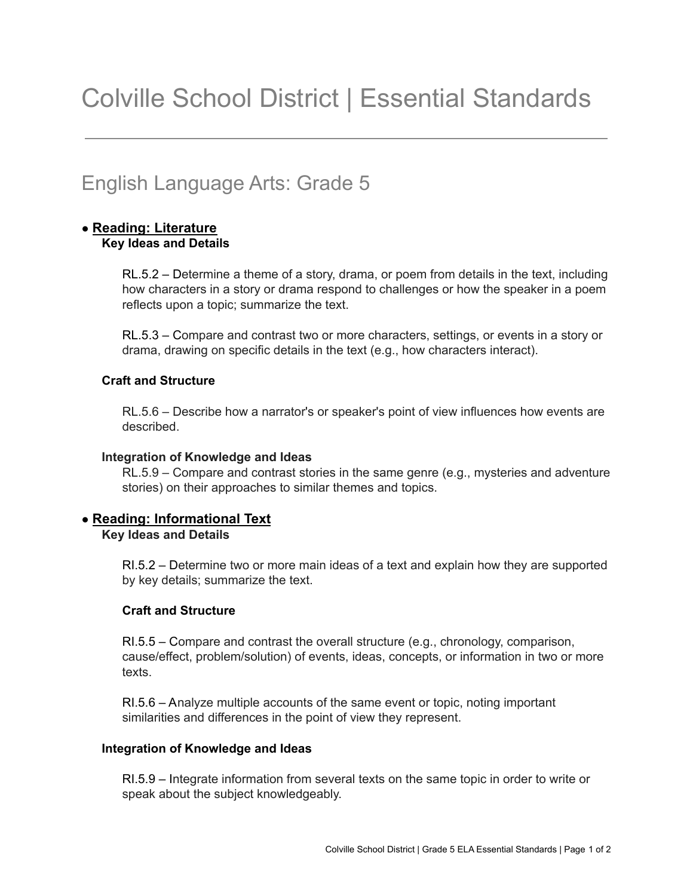# English Language Arts: Grade 5

# **● Reading: Literature Key Ideas and Details**

RL.5.2 – Determine a theme of a story, drama, or poem from details in the text, including how characters in a story or drama respond to challenges or how the speaker in a poem reflects upon a topic; summarize the text.

RL.5.3 – Compare and contrast two or more characters, settings, or events in a story or drama, drawing on specific details in the text (e.g., how characters interact).

# **Craft and Structure**

RL.5.6 – Describe how a narrator's or speaker's point of view influences how events are described.

## **Integration of Knowledge and Ideas**

RL.5.9 – Compare and contrast stories in the same genre (e.g., mysteries and adventure stories) on their approaches to similar themes and topics.

# **● Reading: Informational Text**

**Key Ideas and Details**

RI.5.2 – Determine two or more main ideas of a text and explain how they are supported by key details; summarize the text.

# **Craft and Structure**

RI.5.5 – Compare and contrast the overall structure (e.g., chronology, comparison, cause/effect, problem/solution) of events, ideas, concepts, or information in two or more texts.

RI.5.6 – Analyze multiple accounts of the same event or topic, noting important similarities and differences in the point of view they represent.

## **Integration of Knowledge and Ideas**

RI.5.9 – Integrate information from several texts on the same topic in order to write or speak about the subject knowledgeably.